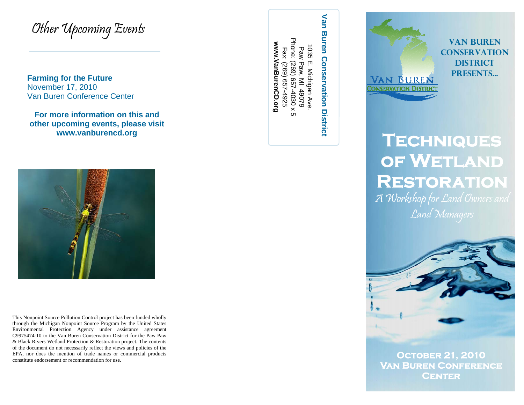Other Upcoming Events

**Farming for the Future**  November 17, 2010 Van Buren Conference Center

**For more information on this and other upcoming events, please visit www.vanburencd.org** 



This Nonpoint Source Pollution Control project has been funded wholly through the Michigan Nonpoint Source Program by the United States Environmental Protection Agency under assistance agreement C9975474-10 to the Van Buren Conservation District for the Paw Paw & Black Rivers Wetland Protection & Restoration project. The contents of the document do not necessarily reflect the views and policies of the EPA, nor does the mention of trade names or commercial products constitute endorsement or recommendation for use.

Phone: (269) 657-4030 x Phone: (269) 657-4030 x 5 www.VanBurenCD.org **www.VanBurenCD.org**  1035 1035 E. Michigan Ave. Fax: (269) 657-4925 Paw Paw, MI Fax: (269) 657-4925 Paw Paw, MI 49079 5 E. Michigan Ave.<br><sub>W</sub> Paw, MI 49079  $\sigma$ 

**VAN BUREN CONSERVATION DISTRICT PRESENTS...**<br>
CONSERVATION DISTRICT PRESENTS...<br>
CONSERVATION DISTRICT PRESENTS...<br>
TECHNIQUES

## **of Wetland Restoration**

A Workshop for Land Owners and Land Managers



**October 21, 2010 Van Buren Conference Center**